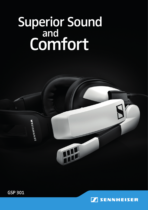## Superior Sound and **Comfort**



SENNHEISER